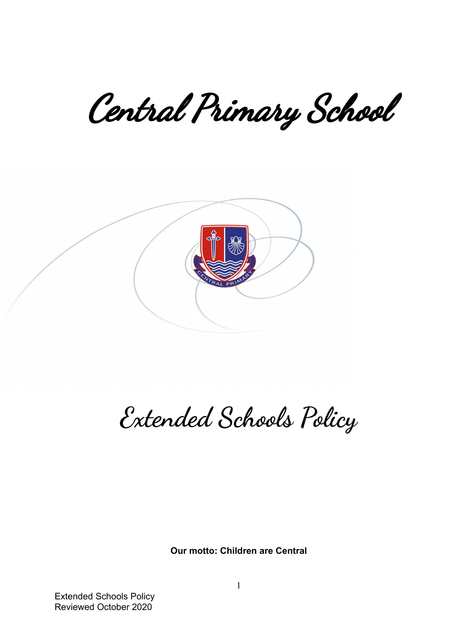Central Primary School



## **Extended Schools Policy**

**Our motto: Children are Central**